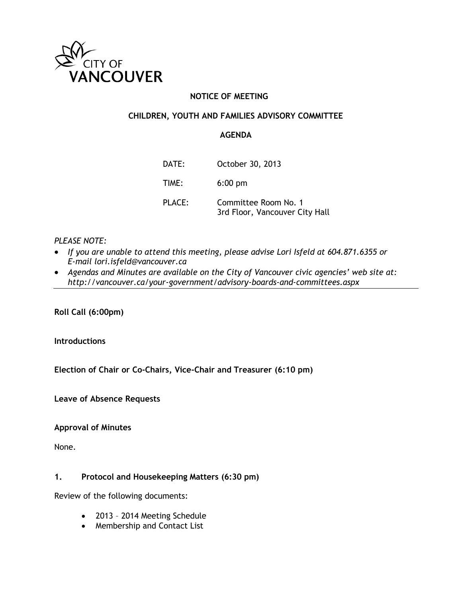

# **NOTICE OF MEETING**

# **CHILDREN, YOUTH AND FAMILIES ADVISORY COMMITTEE**

# **AGENDA**

| DATE:  | October 30, 2013                                       |
|--------|--------------------------------------------------------|
| TIME:  | $6:00$ pm                                              |
| PLACE: | Committee Room No. 1<br>3rd Floor, Vancouver City Hall |

# *PLEASE NOTE:*

- *If you are unable to attend this meeting, please advise Lori Isfeld at 604.871.6355 or E-mail lori.isfeld@vancouver.ca*
- *Agendas and Minutes are available on the City of Vancouver civic agencies' web site at: http://vancouver.ca/your-government/advisory-boards-and-committees.aspx*

**Roll Call (6:00pm)**

**Introductions**

**Election of Chair or Co-Chairs, Vice-Chair and Treasurer (6:10 pm)**

**Leave of Absence Requests**

**Approval of Minutes**

None.

# **1. Protocol and Housekeeping Matters (6:30 pm)**

Review of the following documents:

- 2013 2014 Meeting Schedule
- Membership and Contact List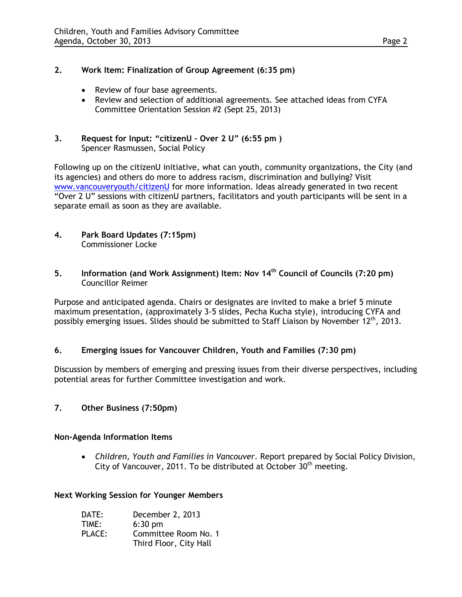### **2. Work Item: Finalization of Group Agreement (6:35 pm)**

- Review of four base agreements.
- Review and selection of additional agreements. See attached ideas from CYFA Committee Orientation Session #2 (Sept 25, 2013)
- **3. Request for Input: "citizenU Over 2 U" (6:55 pm )** Spencer Rasmussen, Social Policy

Following up on the citizenU initiative, what can youth, community organizations, the City (and its agencies) and others do more to address racism, discrimination and bullying? Visit [www.vancouveryouth/citizenU](http://www.vancouveryouth/citizenU) for more information. Ideas already generated in two recent "Over 2 U" sessions with citizenU partners, facilitators and youth participants will be sent in a separate email as soon as they are available.

- **4. Park Board Updates (7:15pm)** Commissioner Locke
- **5. Information (and Work Assignment) Item: Nov 14th Council of Councils (7:20 pm)** Councillor Reimer

Purpose and anticipated agenda. Chairs or designates are invited to make a brief 5 minute maximum presentation, (approximately 3-5 slides, Pecha Kucha style), introducing CYFA and possibly emerging issues. Slides should be submitted to Staff Liaison by November  $12<sup>th</sup>$ , 2013.

#### **6. Emerging issues for Vancouver Children, Youth and Families (7:30 pm)**

Discussion by members of emerging and pressing issues from their diverse perspectives, including potential areas for further Committee investigation and work.

**7. Other Business (7:50pm)**

#### **Non-Agenda Information Items**

• *Children, Youth and Families in Vancouver*. Report prepared by Social Policy Division, City of Vancouver, 2011. To be distributed at October  $30<sup>th</sup>$  meeting.

#### **Next Working Session for Younger Members**

| DATE:  | December 2, 2013       |
|--------|------------------------|
| TIME:  | $6:30$ pm              |
| PLACE: | Committee Room No. 1   |
|        | Third Floor, City Hall |